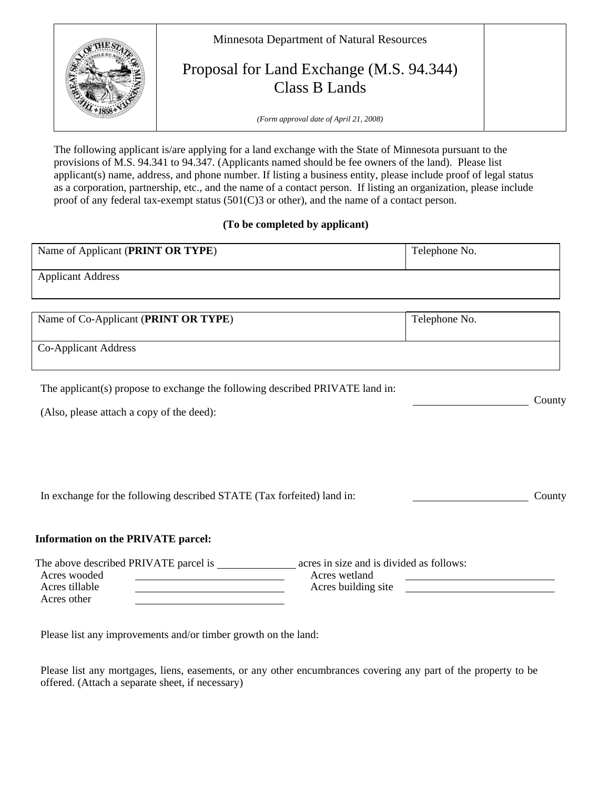

The following applicant is/are applying for a land exchange with the State of Minnesota pursuant to the provisions of M.S. 94.341 to 94.347. (Applicants named should be fee owners of the land). Please list applicant(s) name, address, and phone number. If listing a business entity, please include proof of legal status as a corporation, partnership, etc., and the name of a contact person. If listing an organization, please include proof of any federal tax-exempt status (501(C)3 or other), and the name of a contact person.

## **(To be completed by applicant)**

| Name of Applicant (PRINT OR TYPE)                                             | Telephone No. |
|-------------------------------------------------------------------------------|---------------|
| <b>Applicant Address</b>                                                      |               |
|                                                                               |               |
| Name of Co-Applicant (PRINT OR TYPE)                                          | Telephone No. |
| Co-Applicant Address                                                          |               |
| The applicant(s) propose to exchange the following described PRIVATE land in: |               |
| (Also, please attach a copy of the deed):                                     | County        |
|                                                                               |               |
|                                                                               |               |
| In exchange for the following described STATE (Tax forfeited) land in:        | County        |
| <b>Information on the PRIVATE parcel:</b>                                     |               |
| Acres wooded<br>Acres wetland                                                 |               |
| Acres tillable<br>Acres building site<br>Acres other                          |               |

Please list any improvements and/or timber growth on the land:

Please list any mortgages, liens, easements, or any other encumbrances covering any part of the property to be offered. (Attach a separate sheet, if necessary)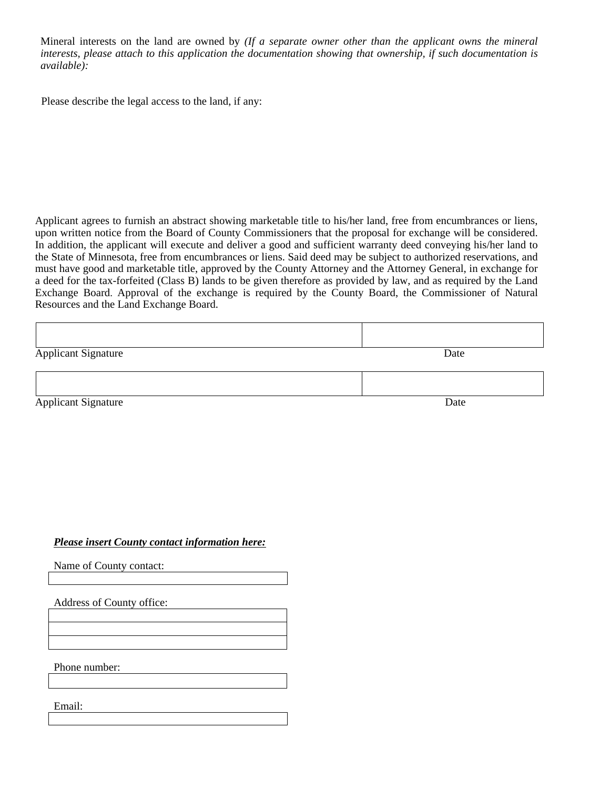Mineral interests on the land are owned by *(If a separate owner other than the applicant owns the mineral interests, please attach to this application the documentation showing that ownership, if such documentation is available):*

Please describe the legal access to the land, if any:

Applicant agrees to furnish an abstract showing marketable title to his/her land, free from encumbrances or liens, upon written notice from the Board of County Commissioners that the proposal for exchange will be considered. In addition, the applicant will execute and deliver a good and sufficient warranty deed conveying his/her land to the State of Minnesota, free from encumbrances or liens. Said deed may be subject to authorized reservations, and must have good and marketable title, approved by the County Attorney and the Attorney General, in exchange for a deed for the tax-forfeited (Class B) lands to be given therefore as provided by law, and as required by the Land Exchange Board. Approval of the exchange is required by the County Board, the Commissioner of Natural Resources and the Land Exchange Board.

| <b>Applicant Signature</b> | Date |
|----------------------------|------|
|                            |      |
| <b>Applicant Signature</b> | Date |

## *Please insert County contact information here:*

Name of County contact:

Address of County office:

Phone number:

Email: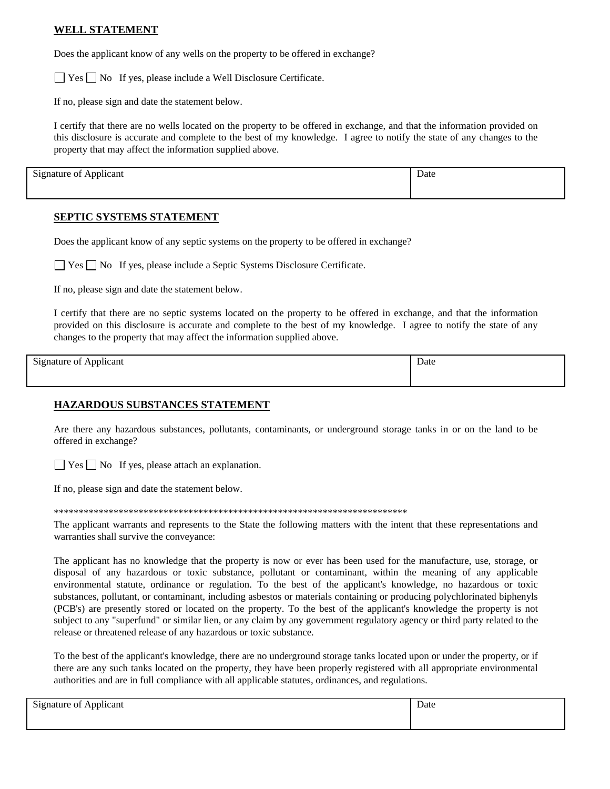## **WELL STATEMENT**

Does the applicant know of any wells on the property to be offered in exchange?

 $\Box$  Yes  $\Box$  No If yes, please include a Well Disclosure Certificate.

If no, please sign and date the statement below.

I certify that there are no wells located on the property to be offered in exchange, and that the information provided on this disclosure is accurate and complete to the best of my knowledge. I agree to notify the state of any changes to the property that may affect the information supplied above.

Signature of Applicant Date

#### **SEPTIC SYSTEMS STATEMENT**

Does the applicant know of any septic systems on the property to be offered in exchange?

 $\Box$  Yes  $\Box$  No If yes, please include a Septic Systems Disclosure Certificate.

If no, please sign and date the statement below.

I certify that there are no septic systems located on the property to be offered in exchange, and that the information provided on this disclosure is accurate and complete to the best of my knowledge. I agree to notify the state of any changes to the property that may affect the information supplied above.

| <b>Signature of Applicant</b><br>$\ddot{\phantom{1}}$ | Date |  |
|-------------------------------------------------------|------|--|
|                                                       |      |  |

### **HAZARDOUS SUBSTANCES STATEMENT**

Are there any hazardous substances, pollutants, contaminants, or underground storage tanks in or on the land to be offered in exchange?

 $\Box$  Yes  $\Box$  No If yes, please attach an explanation.

If no, please sign and date the statement below.

\*\*\*\*\*\*\*\*\*\*\*\*\*\*\*\*\*\*\*\*\*\*\*\*\*\*\*\*\*\*\*\*\*\*\*\*\*\*\*\*\*\*\*\*\*\*\*\*\*\*\*\*\*\*\*\*\*\*\*\*\*\*\*\*\*\*\*\*\*\*\*

The applicant warrants and represents to the State the following matters with the intent that these representations and warranties shall survive the conveyance:

The applicant has no knowledge that the property is now or ever has been used for the manufacture, use, storage, or disposal of any hazardous or toxic substance, pollutant or contaminant, within the meaning of any applicable environmental statute, ordinance or regulation. To the best of the applicant's knowledge, no hazardous or toxic substances, pollutant, or contaminant, including asbestos or materials containing or producing polychlorinated biphenyls (PCB's) are presently stored or located on the property. To the best of the applicant's knowledge the property is not subject to any "superfund" or similar lien, or any claim by any government regulatory agency or third party related to the release or threatened release of any hazardous or toxic substance.

To the best of the applicant's knowledge, there are no underground storage tanks located upon or under the property, or if there are any such tanks located on the property, they have been properly registered with all appropriate environmental authorities and are in full compliance with all applicable statutes, ordinances, and regulations.

| $\cdot$<br>$\sim$<br>$\sim$<br>Signature of Applicant | Date |
|-------------------------------------------------------|------|
|                                                       |      |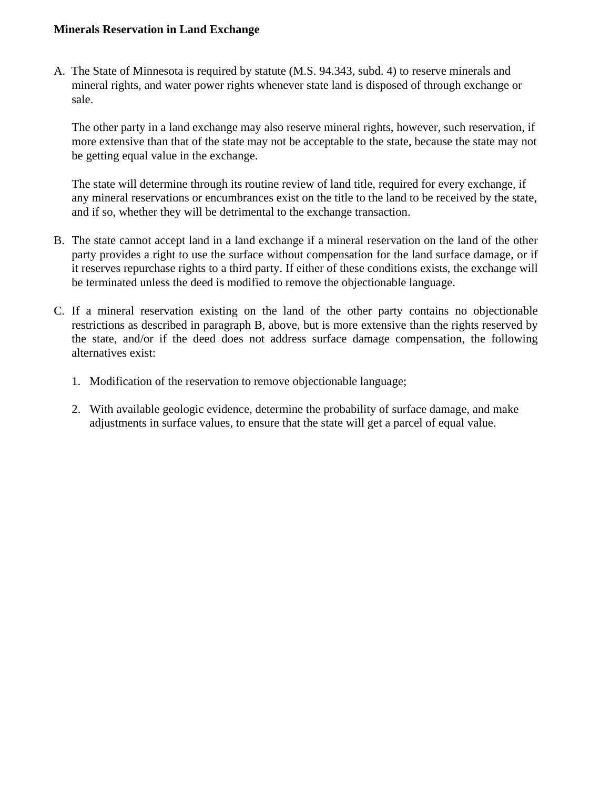# **Minerals Reservation in Land Exchange**

A. The State of Minnesota is required by statute (M.S. 94.343, subd. 4) to reserve minerals and mineral rights, and water power rights whenever state land is disposed of through exchange or sale.

The other party in a land exchange may also reserve mineral rights, however, such reservation, if more extensive than that of the state may not be acceptable to the state, because the state may not be getting equal value in the exchange.

The state will determine through its routine review of land title, required for every exchange, if any mineral reservations or encumbrances exist on the title to the land to be received by the state, and if so, whether they will be detrimental to the exchange transaction.

- B. The state cannot accept land in a land exchange if a mineral reservation on the land of the other party provides a right to use the surface without compensation for the land surface damage, or if it reserves repurchase rights to a third party. If either of these conditions exists, the exchange will be terminated unless the deed is modified to remove the objectionable language.
- C. If a mineral reservation existing on the land of the other party contains no objectionable restrictions as described in paragraph B, above, but is more extensive than the rights reserved by the state, and/or if the deed does not address surface damage compensation, the following alternatives exist:
	- 1. Modification of the reservation to remove objectionable language;
	- 2. With available geologic evidence, determine the probability of surface damage, and make adjustments in surface values, to ensure that the state will get a parcel of equal value.